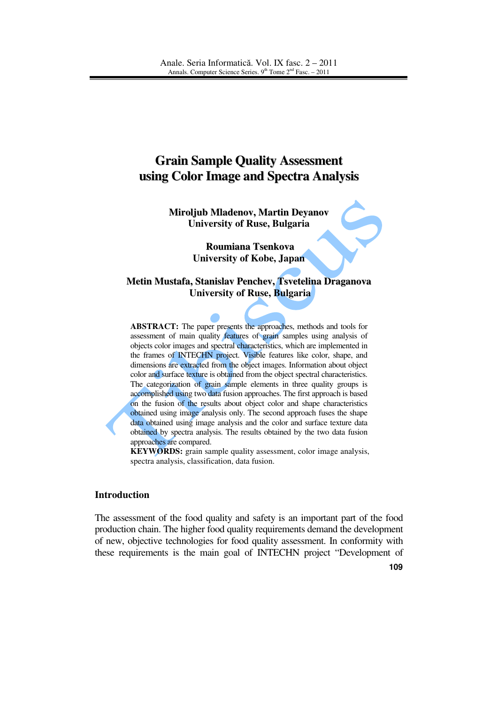# **Grain Sample Quality Assessment using Color Image and Spectra Analysis**

**Miroljub Mladenov, Martin Deyanov University of Ruse, Bulgaria** 

> **Roumiana Tsenkova University of Kobe, Japan**

**Metin Mustafa, Stanislav Penchev, Tsvetelina Draganova University of Ruse, Bulgaria** 

**ABSTRACT:** The paper presents the approaches, methods and tools for assessment of main quality features of grain samples using analysis of objects color images and spectral characteristics, which are implemented in the frames of INTECHN project. Visible features like color, shape, and dimensions are extracted from the object images. Information about object color and surface texture is obtained from the object spectral characteristics. The categorization of grain sample elements in three quality groups is accomplished using two data fusion approaches. The first approach is based on the fusion of the results about object color and shape characteristics obtained using image analysis only. The second approach fuses the shape data obtained using image analysis and the color and surface texture data obtained by spectra analysis. The results obtained by the two data fusion approaches are compared.

**KEYWORDS:** grain sample quality assessment, color image analysis, spectra analysis, classification, data fusion.

#### **Introduction**

The assessment of the food quality and safety is an important part of the food production chain. The higher food quality requirements demand the development of new, objective technologies for food quality assessment. In conformity with these requirements is the main goal of INTECHN project "Development of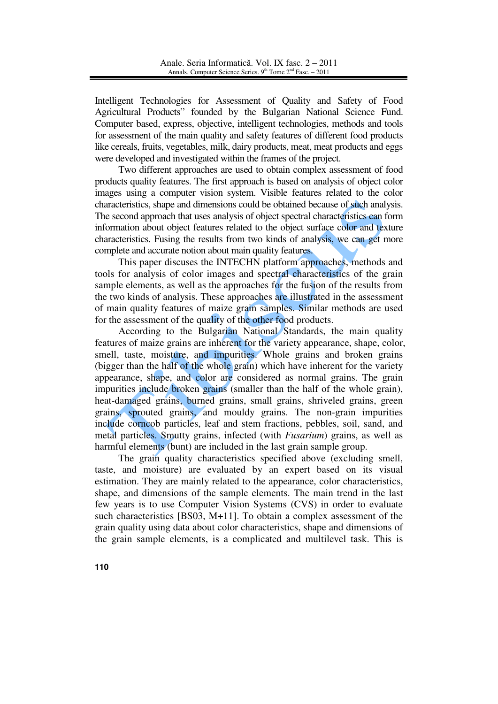Intelligent Technologies for Assessment of Quality and Safety of Food Agricultural Products" founded by the Bulgarian National Science Fund. Computer based, express, objective, intelligent technologies, methods and tools for assessment of the main quality and safety features of different food products like cereals, fruits, vegetables, milk, dairy products, meat, meat products and eggs were developed and investigated within the frames of the project.

Two different approaches are used to obtain complex assessment of food products quality features. The first approach is based on analysis of object color images using a computer vision system. Visible features related to the color characteristics, shape and dimensions could be obtained because of such analysis. The second approach that uses analysis of object spectral characteristics can form information about object features related to the object surface color and texture characteristics. Fusing the results from two kinds of analysis, we can get more complete and accurate notion about main quality features.

This paper discuses the INTECHN platform approaches, methods and tools for analysis of color images and spectral characteristics of the grain sample elements, as well as the approaches for the fusion of the results from the two kinds of analysis. These approaches are illustrated in the assessment of main quality features of maize grain samples. Similar methods are used for the assessment of the quality of the other food products.

According to the Bulgarian National Standards, the main quality features of maize grains are inherent for the variety appearance, shape, color, smell, taste, moisture, and impurities. Whole grains and broken grains (bigger than the half of the whole grain) which have inherent for the variety appearance, shape, and color are considered as normal grains. The grain impurities include broken grains (smaller than the half of the whole grain), heat-damaged grains, burned grains, small grains, shriveled grains, green grains, sprouted grains, and mouldy grains. The non-grain impurities include corncob particles, leaf and stem fractions, pebbles, soil, sand, and metal particles. Smutty grains, infected (with *Fusarium*) grains, as well as harmful elements (bunt) are included in the last grain sample group.

The grain quality characteristics specified above (excluding smell, taste, and moisture) are evaluated by an expert based on its visual estimation. They are mainly related to the appearance, color characteristics, shape, and dimensions of the sample elements. The main trend in the last few years is to use Computer Vision Systems (CVS) in order to evaluate such characteristics [BS03, M+11]. To obtain a complex assessment of the grain quality using data about color characteristics, shape and dimensions of the grain sample elements, is a complicated and multilevel task. This is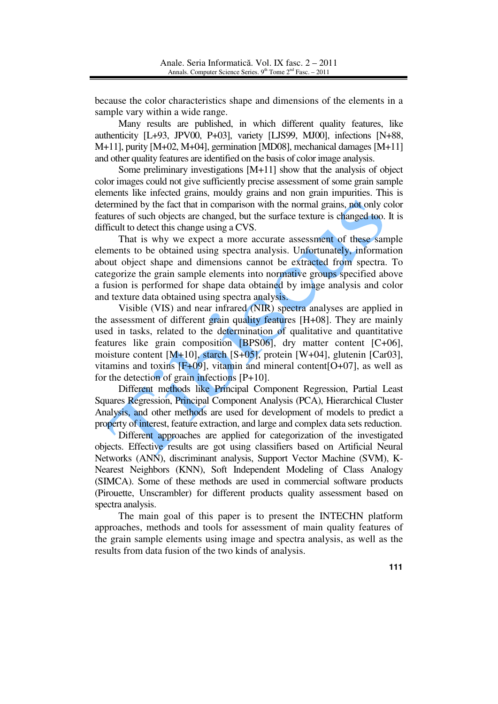because the color characteristics shape and dimensions of the elements in a sample vary within a wide range.

Many results are published, in which different quality features, like authenticity [L+93, JPV00, P+03], variety [LJS99, MJ00], infections [N+88, M+11], purity [M+02, M+04], germination [MD08], mechanical damages [M+11] and other quality features are identified on the basis of color image analysis.

Some preliminary investigations [M+11] show that the analysis of object color images could not give sufficiently precise assessment of some grain sample elements like infected grains, mouldy grains and non grain impurities. This is determined by the fact that in comparison with the normal grains, not only color features of such objects are changed, but the surface texture is changed too. It is difficult to detect this change using a CVS.

That is why we expect a more accurate assessment of these sample elements to be obtained using spectra analysis. Unfortunately, information about object shape and dimensions cannot be extracted from spectra. To categorize the grain sample elements into normative groups specified above a fusion is performed for shape data obtained by image analysis and color and texture data obtained using spectra analysis.

Visible (VIS) and near infrared (NIR) spectra analyses are applied in the assessment of different grain quality features [H+08]. They are mainly used in tasks, related to the determination of qualitative and quantitative features like grain composition [BPS06], dry matter content [C+06], moisture content [M+10], starch [S+05], protein [W+04], glutenin [Car03], vitamins and toxins  $[F+09]$ , vitamin and mineral content  $[O+07]$ , as well as for the detection of grain infections [P+10].

Different methods like Principal Component Regression, Partial Least Squares Regression, Principal Component Analysis (PCA), Hierarchical Cluster Analysis, and other methods are used for development of models to predict a property of interest, feature extraction, and large and complex data sets reduction.

Different approaches are applied for categorization of the investigated objects. Effective results are got using classifiers based on Artificial Neural Networks (ANN), discriminant analysis, Support Vector Machine (SVM), K-Nearest Neighbors (KNN), Soft Independent Modeling of Class Analogy (SIMCA). Some of these methods are used in commercial software products (Pirouette, Unscrambler) for different products quality assessment based on spectra analysis.

The main goal of this paper is to present the INTECHN platform approaches, methods and tools for assessment of main quality features of the grain sample elements using image and spectra analysis, as well as the results from data fusion of the two kinds of analysis.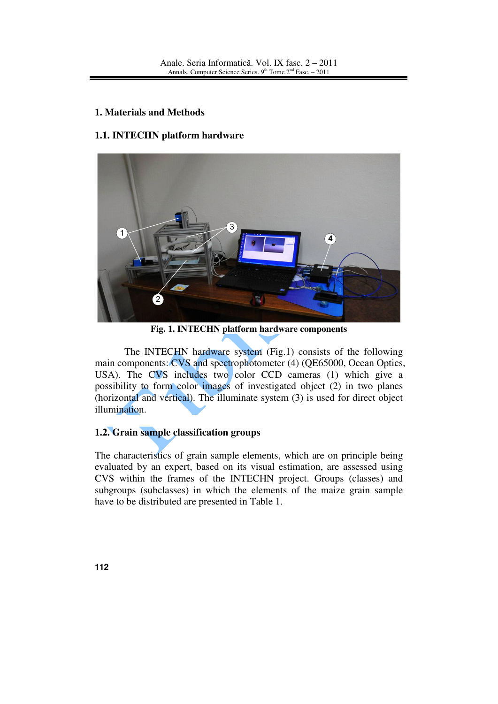# **1. Materials and Methods**

# **1.1. INTECHN platform hardware**



**Fig. 1. INTECHN platform hardware components**

 The INTECHN hardware system (Fig.1) consists of the following main components: CVS and spectrophotometer (4) (QE65000, Ocean Optics, USA). The CVS includes two color CCD cameras (1) which give a possibility to form color images of investigated object (2) in two planes (horizontal and vertical). The illuminate system (3) is used for direct object illumination.

# **1.2. Grain sample classification groups**

The characteristics of grain sample elements, which are on principle being evaluated by an expert, based on its visual estimation, are assessed using CVS within the frames of the INTECHN project. Groups (classes) and subgroups (subclasses) in which the elements of the maize grain sample have to be distributed are presented in Table 1.

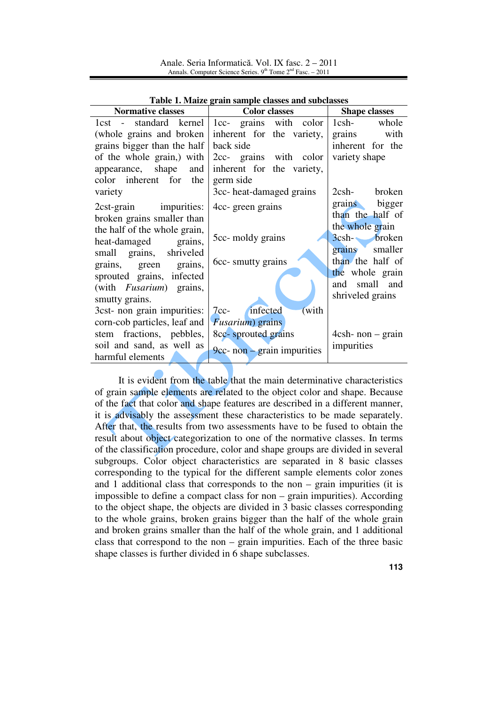|  | Anale. Seria Informatică. Vol. IX fasc. 2 – 2011                                   |  |  |  |
|--|------------------------------------------------------------------------------------|--|--|--|
|  | Annals. Computer Science Series. 9 <sup>th</sup> Tome 2 <sup>nd</sup> Fasc. – 2011 |  |  |  |

|                                     | Table 1. Marze grain sample classes and subclasses |                      |  |  |  |  |  |  |  |
|-------------------------------------|----------------------------------------------------|----------------------|--|--|--|--|--|--|--|
| <b>Normative classes</b>            | <b>Color classes</b>                               | <b>Shape classes</b> |  |  |  |  |  |  |  |
| standard kernel<br>$1 \text{cst}$ - | $1cc$ - grains with color $1csh$ -                 | whole                |  |  |  |  |  |  |  |
| (whole grains and broken            | inherent for the variety,                          | with<br>grains       |  |  |  |  |  |  |  |
| grains bigger than the half         | back side                                          | inherent for the     |  |  |  |  |  |  |  |
| of the whole grain, with            | 2cc- grains with color                             | variety shape        |  |  |  |  |  |  |  |
| appearance, shape<br>and            | inherent for the variety,                          |                      |  |  |  |  |  |  |  |
| color inherent for the              | germ side                                          |                      |  |  |  |  |  |  |  |
| variety                             | 3cc- heat-damaged grains                           | broken<br>$2csh-$    |  |  |  |  |  |  |  |
| 2cst-grain impurities:              | 4cc- green grains                                  | bigger<br>grains     |  |  |  |  |  |  |  |
| broken grains smaller than          |                                                    | than the half of     |  |  |  |  |  |  |  |
| the half of the whole grain,        |                                                    | the whole grain      |  |  |  |  |  |  |  |
| heat-damaged<br>grains,             | 5cc- moldy grains                                  | 3csh- broken         |  |  |  |  |  |  |  |
| small grains, shriveled             |                                                    | grains smaller       |  |  |  |  |  |  |  |
| grains, green grains,               | 6cc- smutty grains                                 | than the half of     |  |  |  |  |  |  |  |
| sprouted grains, infected           |                                                    | the whole grain      |  |  |  |  |  |  |  |
| (with <i>Fusarium</i> ) grains,     |                                                    | small<br>and<br>and  |  |  |  |  |  |  |  |
| smutty grains.                      |                                                    | shriveled grains     |  |  |  |  |  |  |  |
| 3 cst- non grain impurities:        | infected<br>(with<br>$7cc-$                        |                      |  |  |  |  |  |  |  |
| corn-cob particles, leaf and        | <i>Fusarium</i> ) grains                           |                      |  |  |  |  |  |  |  |
| stem fractions, pebbles,            | 8cc-sprouted grains                                | $4csh-non - grain$   |  |  |  |  |  |  |  |
| soil and sand, as well as           | $9cc$ - non – grain impurities                     | impurities           |  |  |  |  |  |  |  |
| harmful elements                    |                                                    |                      |  |  |  |  |  |  |  |

**Table 1. Maize grain sample classes and subclasses** 

It is evident from the table that the main determinative characteristics of grain sample elements are related to the object color and shape. Because of the fact that color and shape features are described in a different manner, it is advisably the assessment these characteristics to be made separately. After that, the results from two assessments have to be fused to obtain the result about object categorization to one of the normative classes. In terms of the classification procedure, color and shape groups are divided in several subgroups. Color object characteristics are separated in 8 basic classes corresponding to the typical for the different sample elements color zones and 1 additional class that corresponds to the non  $-$  grain impurities (it is impossible to define a compact class for non – grain impurities). According to the object shape, the objects are divided in 3 basic classes corresponding to the whole grains, broken grains bigger than the half of the whole grain and broken grains smaller than the half of the whole grain, and 1 additional class that correspond to the non – grain impurities. Each of the three basic shape classes is further divided in 6 shape subclasses.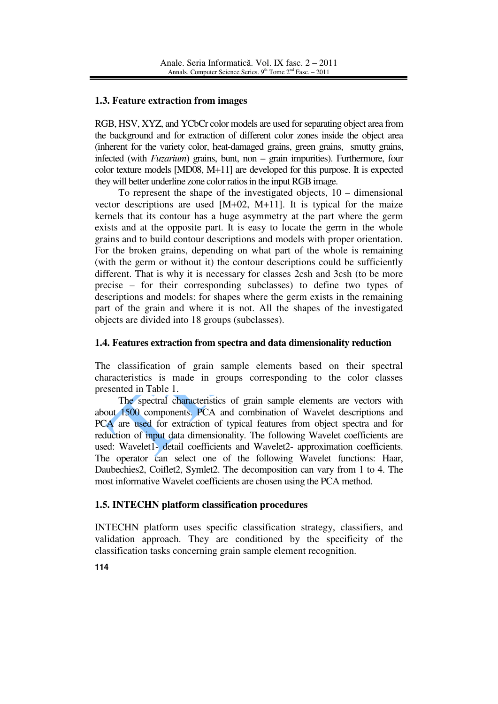# **1.3. Feature extraction from images**

RGB, HSV, XYZ, and YCbCr color models are used for separating object area from the background and for extraction of different color zones inside the object area (inherent for the variety color, heat-damaged grains, green grains, smutty grains, infected (with *Fuzarium*) grains, bunt, non – grain impurities). Furthermore, four color texture models [MD08, M+11] are developed for this purpose. It is expected they will better underline zone color ratios in the input RGB image.

To represent the shape of the investigated objects,  $10 -$  dimensional vector descriptions are used [M+02, M+11]. It is typical for the maize kernels that its contour has a huge asymmetry at the part where the germ exists and at the opposite part. It is easy to locate the germ in the whole grains and to build contour descriptions and models with proper orientation. For the broken grains, depending on what part of the whole is remaining (with the germ or without it) the contour descriptions could be sufficiently different. That is why it is necessary for classes 2csh and 3csh (to be more precise – for their corresponding subclasses) to define two types of descriptions and models: for shapes where the germ exists in the remaining part of the grain and where it is not. All the shapes of the investigated objects are divided into 18 groups (subclasses).

# **1.4. Features extraction from spectra and data dimensionality reduction**

The classification of grain sample elements based on their spectral characteristics is made in groups corresponding to the color classes presented in Table 1.

The spectral characteristics of grain sample elements are vectors with about 1500 components. PCA and combination of Wavelet descriptions and PCA are used for extraction of typical features from object spectra and for reduction of input data dimensionality. The following Wavelet coefficients are used: Wavelet1- detail coefficients and Wavelet2- approximation coefficients. The operator can select one of the following Wavelet functions: Haar, Daubechies2, Coiflet2, Symlet2. The decomposition can vary from 1 to 4. The most informative Wavelet coefficients are chosen using the PCA method.

# **1.5. INTECHN platform classification procedures**

INTECHN platform uses specific classification strategy, classifiers, and validation approach. They are conditioned by the specificity of the classification tasks concerning grain sample element recognition.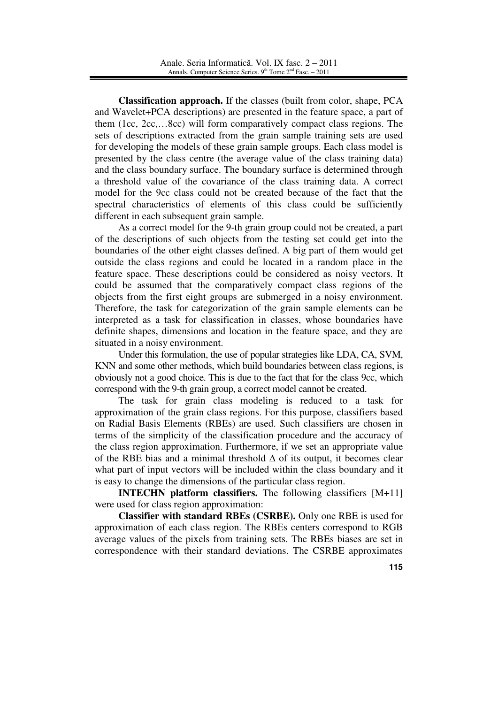**Classification approach.** If the classes (built from color, shape, PCA and Wavelet+PCA descriptions) are presented in the feature space, a part of them (1cc, 2cc,…8cc) will form comparatively compact class regions. The sets of descriptions extracted from the grain sample training sets are used for developing the models of these grain sample groups. Each class model is presented by the class centre (the average value of the class training data) and the class boundary surface. The boundary surface is determined through a threshold value of the covariance of the class training data. A correct model for the 9cc class could not be created because of the fact that the spectral characteristics of elements of this class could be sufficiently different in each subsequent grain sample.

As a correct model for the 9-th grain group could not be created, a part of the descriptions of such objects from the testing set could get into the boundaries of the other eight classes defined. A big part of them would get outside the class regions and could be located in a random place in the feature space. These descriptions could be considered as noisy vectors. It could be assumed that the comparatively compact class regions of the objects from the first eight groups are submerged in a noisy environment. Therefore, the task for categorization of the grain sample elements can be interpreted as a task for classification in classes, whose boundaries have definite shapes, dimensions and location in the feature space, and they are situated in a noisy environment.

Under this formulation, the use of popular strategies like LDA, CA, SVM, KNN and some other methods, which build boundaries between class regions, is obviously not a good choice. This is due to the fact that for the class 9cc, which correspond with the 9-th grain group, a correct model cannot be created.

The task for grain class modeling is reduced to a task for approximation of the grain class regions. For this purpose, classifiers based on Radial Basis Elements (RBEs) are used. Such classifiers are chosen in terms of the simplicity of the classification procedure and the accuracy of the class region approximation. Furthermore, if we set an appropriate value of the RBE bias and a minimal threshold ∆ of its output, it becomes clear what part of input vectors will be included within the class boundary and it is easy to change the dimensions of the particular class region.

**INTECHN platform classifiers.** The following classifiers [M+11] were used for class region approximation:

**Classifier with standard RBEs (CSRBE).** Only one RBE is used for approximation of each class region. The RBEs centers correspond to RGB average values of the pixels from training sets. The RBEs biases are set in correspondence with their standard deviations. The CSRBE approximates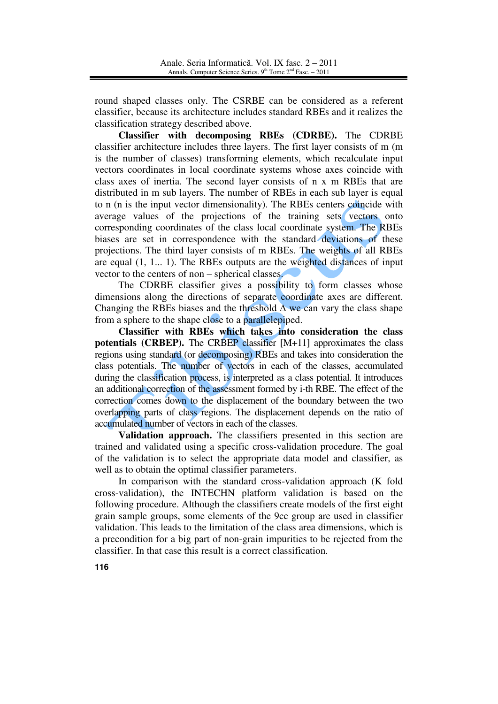round shaped classes only. The CSRBE can be considered as a referent classifier, because its architecture includes standard RBEs and it realizes the classification strategy described above.

**Classifier with decomposing RBEs (CDRBE).** The CDRBE classifier architecture includes three layers. The first layer consists of m (m is the number of classes) transforming elements, which recalculate input vectors coordinates in local coordinate systems whose axes coincide with class axes of inertia. The second layer consists of n x m RBEs that are distributed in m sub layers. The number of RBEs in each sub layer is equal to n (n is the input vector dimensionality). The RBEs centers coincide with average values of the projections of the training sets vectors onto corresponding coordinates of the class local coordinate system. The RBEs biases are set in correspondence with the standard deviations of these projections. The third layer consists of m RBEs. The weights of all RBEs are equal (1, 1... 1). The RBEs outputs are the weighted distances of input vector to the centers of non – spherical classes.

The CDRBE classifier gives a possibility to form classes whose dimensions along the directions of separate coordinate axes are different. Changing the RBEs biases and the threshold  $\Delta$  we can vary the class shape from a sphere to the shape close to a parallelepiped.

**Classifier with RBEs which takes into consideration the class potentials (CRBEP).** The CRBEP classifier [M+11] approximates the class regions using standard (or decomposing) RBEs and takes into consideration the class potentials. The number of vectors in each of the classes, accumulated during the classification process, is interpreted as a class potential. It introduces an additional correction of the assessment formed by i-th RBE. The effect of the correction comes down to the displacement of the boundary between the two overlapping parts of class regions. The displacement depends on the ratio of accumulated number of vectors in each of the classes.

**Validation approach.** The classifiers presented in this section are trained and validated using a specific cross-validation procedure. The goal of the validation is to select the appropriate data model and classifier, as well as to obtain the optimal classifier parameters.

In comparison with the standard cross-validation approach (K fold cross-validation), the INTECHN platform validation is based on the following procedure. Although the classifiers create models of the first eight grain sample groups, some elements of the 9cc group are used in classifier validation. This leads to the limitation of the class area dimensions, which is a precondition for a big part of non-grain impurities to be rejected from the classifier. In that case this result is a correct classification.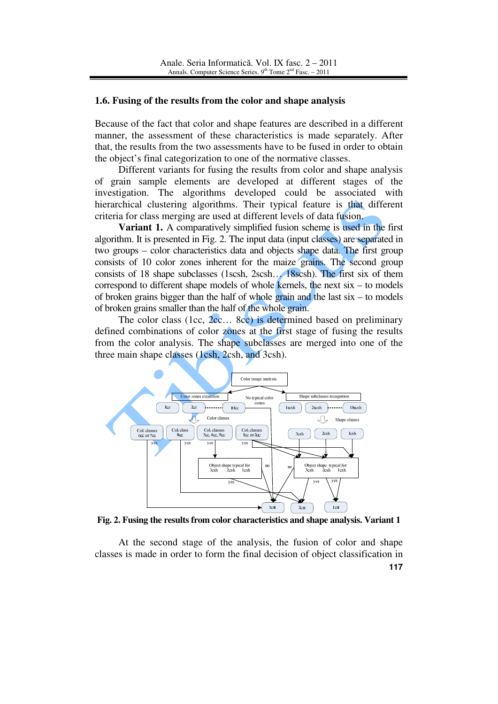#### **1.6. Fusing of the results from the color and shape analysis**

Because of the fact that color and shape features are described in a different manner, the assessment of these characteristics is made separately. After that, the results from the two assessments have to be fused in order to obtain the object's final categorization to one of the normative classes.

Different variants for fusing the results from color and shape analysis of grain sample elements are developed at different stages of the investigation. The algorithms developed could be associated with hierarchical clustering algorithms. Their typical feature is that different criteria for class merging are used at different levels of data fusion.

**Variant 1.** A comparatively simplified fusion scheme is used in the first algorithm. It is presented in Fig. 2. The input data (input classes) are separated in two groups – color characteristics data and objects shape data. The first group consists of 10 color zones inherent for the maize grains. The second group consists of 18 shape subclasses (1scsh, 2scsh… 18scsh). The first six of them correspond to different shape models of whole kernels, the next  $six - to$  models of broken grains bigger than the half of whole grain and the last  $six - to$  models of broken grains smaller than the half of the whole grain.

The color class (1cc, 2cc... 8cc) is determined based on preliminary defined combinations of color zones at the first stage of fusing the results from the color analysis. The shape subclasses are merged into one of the three main shape classes (1csh, 2csh, and 3csh).



**Fig. 2. Fusing the results from color characteristics and shape analysis. Variant 1**

**117** At the second stage of the analysis, the fusion of color and shape classes is made in order to form the final decision of object classification in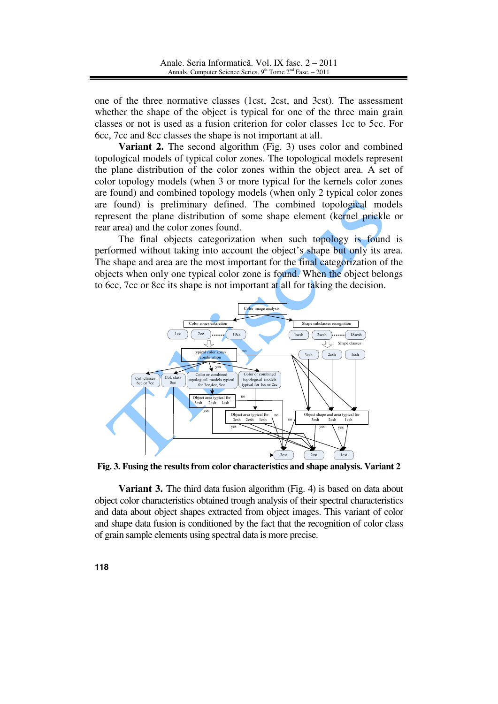one of the three normative classes (1cst, 2cst, and 3cst). The assessment whether the shape of the object is typical for one of the three main grain classes or not is used as a fusion criterion for color classes 1cc to 5cc. For 6cc, 7cc and 8cc classes the shape is not important at all.

**Variant 2.** The second algorithm (Fig. 3) uses color and combined topological models of typical color zones. The topological models represent the plane distribution of the color zones within the object area. A set of color topology models (when 3 or more typical for the kernels color zones are found) and combined topology models (when only 2 typical color zones are found) is preliminary defined. The combined topological models represent the plane distribution of some shape element (kernel prickle or rear area) and the color zones found.

The final objects categorization when such topology is found is performed without taking into account the object's shape but only its area. The shape and area are the most important for the final categorization of the objects when only one typical color zone is found. When the object belongs to 6cc, 7cc or 8cc its shape is not important at all for taking the decision.



**Fig. 3. Fusing the results from color characteristics and shape analysis. Variant 2** 

**Variant 3.** The third data fusion algorithm (Fig. 4) is based on data about object color characteristics obtained trough analysis of their spectral characteristics and data about object shapes extracted from object images. This variant of color and shape data fusion is conditioned by the fact that the recognition of color class of grain sample elements using spectral data is more precise.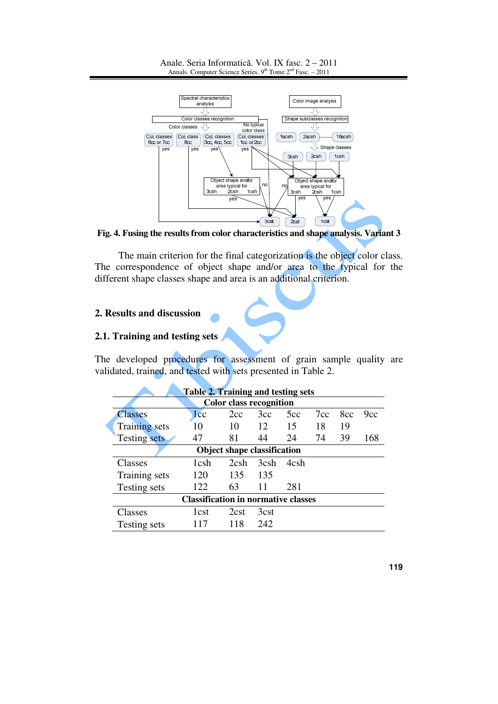

#### **Fig. 4. Fusing the results from color characteristics and shape analysis. Variant 3**

The main criterion for the final categorization is the object color class. The correspondence of object shape and/or area to the typical for the different shape classes shape and area is an additional criterion.

# **2. Results and discussion**

# **2.1. Training and testing sets**

The developed procedures for assessment of grain sample quality are validated, trained, and tested with sets presented in Table 2.

| Table 2. Training and testing sets         |                  |      |      |      |     |     |     |  |  |
|--------------------------------------------|------------------|------|------|------|-----|-----|-----|--|--|
| <b>Color class recognition</b>             |                  |      |      |      |     |     |     |  |  |
| <b>Classes</b>                             | 1cc              | 2cc  | 3cc  | 5cc  | 7cc | 8cc | 9cc |  |  |
| Training sets                              | 10               | 10   | 12   | 15   | 18  | 19  |     |  |  |
| <b>Testing sets</b>                        | 47               | 81   | 44   | 24   | 74  | 39  | 168 |  |  |
| <b>Object shape classification</b>         |                  |      |      |      |     |     |     |  |  |
| Classes                                    | $1 \cosh$        | 2csh | 3csh | 4csh |     |     |     |  |  |
| Training sets                              | 120              | 135  | 135  |      |     |     |     |  |  |
| <b>Testing sets</b>                        | 122              | 63   | 11   | 281  |     |     |     |  |  |
| <b>Classification in normative classes</b> |                  |      |      |      |     |     |     |  |  |
| Classes                                    | 1 <sub>cst</sub> | 2cst | 3cst |      |     |     |     |  |  |
| Testing sets                               | 117              | 118  | 242  |      |     |     |     |  |  |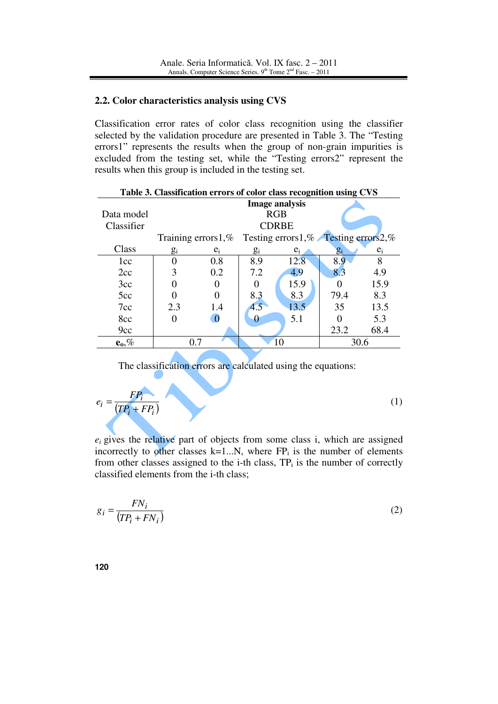# **2.2. Color characteristics analysis using CVS**

Classification error rates of color class recognition using the classifier selected by the validation procedure are presented in Table 3. The "Testing errors1" represents the results when the group of non-grain impurities is excluded from the testing set, while the "Testing errors2" represent the results when this group is included in the testing set.

| Table 3. Classification errors of color class recognition using CVS |                       |                                                        |       |       |       |       |  |  |  |  |
|---------------------------------------------------------------------|-----------------------|--------------------------------------------------------|-------|-------|-------|-------|--|--|--|--|
|                                                                     | <b>Image analysis</b> |                                                        |       |       |       |       |  |  |  |  |
| Data model                                                          |                       | RGB                                                    |       |       |       |       |  |  |  |  |
| Classifier                                                          | <b>CDRBE</b>          |                                                        |       |       |       |       |  |  |  |  |
|                                                                     |                       | Training errors1,% Testing errors1,% Testing errors2,% |       |       |       |       |  |  |  |  |
| Class                                                               | $g_i$                 | $e_i$                                                  | $g_i$ | $e_i$ | $g_i$ | $e_i$ |  |  |  |  |
| 1 <sub>cc</sub>                                                     |                       | 0.8                                                    | 8.9   | 12.8  | 8.9   | 8     |  |  |  |  |
| 2cc                                                                 |                       | 0.2                                                    | 7.2   | 4.9   | 8.3   | 4.9   |  |  |  |  |
| 3cc                                                                 |                       |                                                        |       | 15.9  |       | 15.9  |  |  |  |  |
| 5cc                                                                 |                       |                                                        | 8.3   | 8.3   | 79.4  | 8.3   |  |  |  |  |
| 7cc                                                                 | 2.3                   | 1.4                                                    | 4.5   | 13.5  | 35    | 13.5  |  |  |  |  |
| 8cc                                                                 |                       |                                                        |       | 5.1   |       | 5.3   |  |  |  |  |
| 9cc                                                                 |                       |                                                        |       |       | 23.2  | 68.4  |  |  |  |  |
| $\mathbf{e_o},\%$                                                   |                       | 0.7                                                    |       | ۱O    | 30.6  |       |  |  |  |  |

The classification errors are calculated using the equations:

$$
e_i = \frac{FP_i}{(TP_i + FP_i)}
$$
 (1)

*e<sup>i</sup>* gives the relative part of objects from some class i, which are assigned incorrectly to other classes  $k=1...N$ , where  $FP_i$  is the number of elements from other classes assigned to the  $i$ -th class,  $TP_i$  is the number of correctly classified elements from the i-th class;

$$
g_i = \frac{FN_i}{(TP_i + FN_i)}
$$
 (2)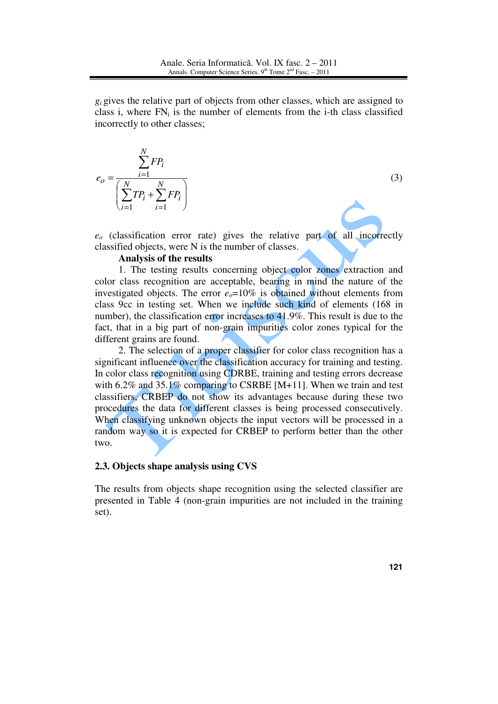$g_i$  gives the relative part of objects from other classes, which are assigned to class i, where  $FN_i$  is the number of elements from the i-th class classified incorrectly to other classes;

$$
e_o = \frac{\sum_{i=1}^{N} FP_i}{\left(\sum_{i=1}^{N} TP_i + \sum_{i=1}^{N} FP_i\right)}
$$

(3)

*e*о (classification error rate) gives the relative part of all incorrectly classified objects, were N is the number of classes.

## **Analysis of the results**

1. The testing results concerning object color zones extraction and color class recognition are acceptable, bearing in mind the nature of the investigated objects. The error  $e_0 = 10\%$  is obtained without elements from class 9cc in testing set. When we include such kind of elements (168 in number), the classification error increases to 41.9%. This result is due to the fact, that in a big part of non-grain impurities color zones typical for the different grains are found.

2. The selection of a proper classifier for color class recognition has a significant influence over the classification accuracy for training and testing. In color class recognition using CDRBE, training and testing errors decrease with  $6.2\%$  and  $35.1\%$  comparing to CSRBE [M+11]. When we train and test classifiers, CRBEP do not show its advantages because during these two procedures the data for different classes is being processed consecutively. When classifying unknown objects the input vectors will be processed in a random way so it is expected for CRBEP to perform better than the other two.

#### **2.3. Objects shape analysis using CVS**

The results from objects shape recognition using the selected classifier are presented in Table 4 (non-grain impurities are not included in the training set).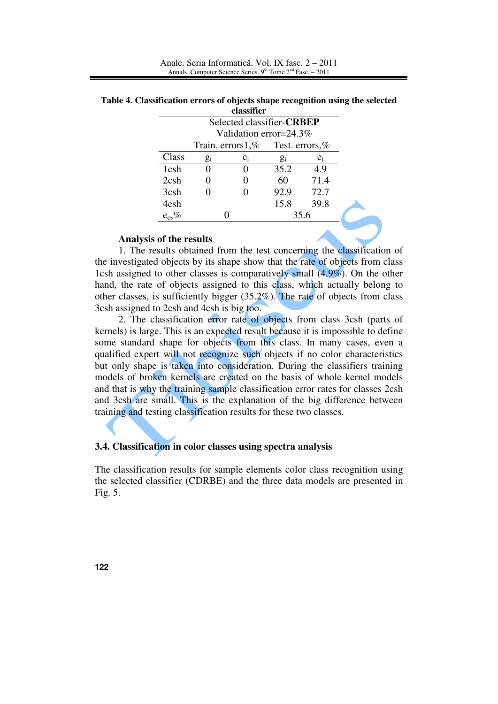|          |                                             | Selected classifier-CRBEP |       |       |  |  |  |
|----------|---------------------------------------------|---------------------------|-------|-------|--|--|--|
|          |                                             | Validation error=24.3%    |       |       |  |  |  |
|          | Train. errors $1$ , $\%$ Test. errors, $\%$ |                           |       |       |  |  |  |
| Class    | g <sub>i</sub>                              | $e_i$                     | $g_i$ | $e_i$ |  |  |  |
| 1csh     |                                             |                           | 35.2  | 4.9   |  |  |  |
| 2csh     |                                             |                           | 60    | 71.4  |  |  |  |
| 3csh     |                                             |                           | 92.9  | 72.7  |  |  |  |
| 4csh     |                                             |                           | 15.8  | 39.8  |  |  |  |
| $e_0$ ,% |                                             |                           |       | 35.6  |  |  |  |

# **Table 4. Classification errors of objects shape recognition using the selected**

#### **Analysis of the results**

1. The results obtained from the test concerning the classification of the investigated objects by its shape show that the rate of objects from class 1csh assigned to other classes is comparatively small (4.9%). On the other hand, the rate of objects assigned to this class, which actually belong to other classes, is sufficiently bigger (35.2%). The rate of objects from class 3csh assigned to 2csh and 4csh is big too.

2. The classification error rate of objects from class 3csh (parts of kernels) is large. This is an expected result because it is impossible to define some standard shape for objects from this class. In many cases, even a qualified expert will not recognize such objects if no color characteristics but only shape is taken into consideration. During the classifiers training models of broken kernels are created on the basis of whole kernel models and that is why the training sample classification error rates for classes 2csh and 3csh are small. This is the explanation of the big difference between training and testing classification results for these two classes.

## **3.4. Classification in color classes using spectra analysis**

The classification results for sample elements color class recognition using the selected classifier (CDRBE) and the three data models are presented in Fig. 5.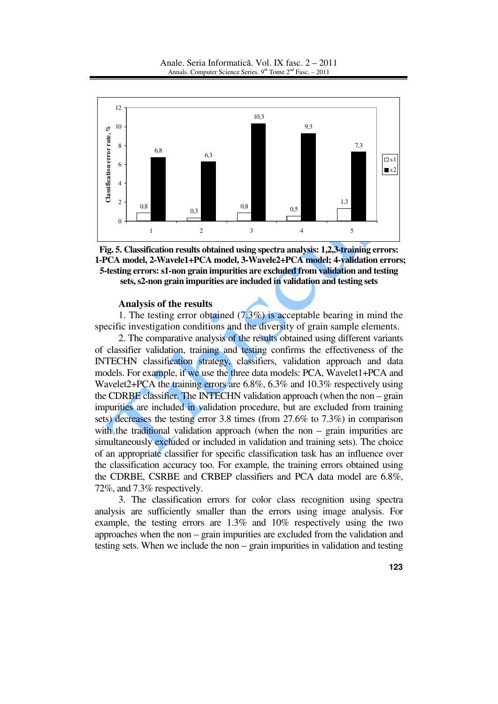



#### **Analysis of the results**

1. The testing error obtained  $(7.3\%)$  is acceptable bearing in mind the specific investigation conditions and the diversity of grain sample elements.

2. The comparative analysis of the results obtained using different variants of classifier validation, training and testing confirms the effectiveness of the INTECHN classification strategy, classifiers, validation approach and data models. For example, if we use the three data models: PCA, Wavelet1+PCA and Wavelet2+PCA the training errors are 6.8%, 6.3% and 10.3% respectively using the CDRBE classifier. The INTECHN validation approach (when the non – grain impurities are included in validation procedure, but are excluded from training sets) decreases the testing error 3.8 times (from 27.6% to 7.3%) in comparison with the traditional validation approach (when the non – grain impurities are simultaneously excluded or included in validation and training sets). The choice of an appropriate classifier for specific classification task has an influence over the classification accuracy too. For example, the training errors obtained using the CDRBE, CSRBE and CRBEP classifiers and PCA data model are 6.8%, 72%, and 7.3% respectively.

3. The classification errors for color class recognition using spectra analysis are sufficiently smaller than the errors using image analysis. For example, the testing errors are 1.3% and 10% respectively using the two approaches when the non – grain impurities are excluded from the validation and testing sets. When we include the non – grain impurities in validation and testing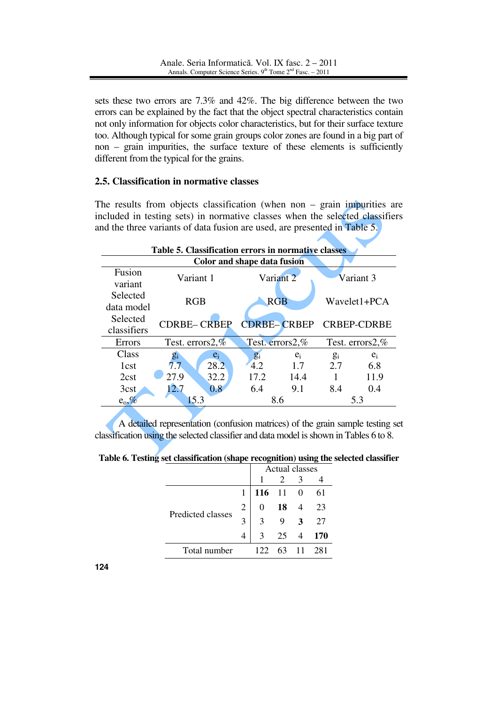sets these two errors are 7.3% and 42%. The big difference between the two errors can be explained by the fact that the object spectral characteristics contain not only information for objects color characteristics, but for their surface texture too. Although typical for some grain groups color zones are found in a big part of non – grain impurities, the surface texture of these elements is sufficiently different from the typical for the grains.

# **2.5. Classification in normative classes**

The results from objects classification (when non – grain impurities are included in testing sets) in normative classes when the selected classifiers and the three variants of data fusion are used, are presented in Table 5.

| Table 5. Classification errors in normative classes |                      |       |                             |                    |                     |                    |  |  |
|-----------------------------------------------------|----------------------|-------|-----------------------------|--------------------|---------------------|--------------------|--|--|
|                                                     |                      |       | Color and shape data fusion |                    |                     |                    |  |  |
| Fusion<br>variant                                   | Variant 1            |       |                             | Variant 2          |                     | Variant 3          |  |  |
| Selected<br>data model                              | RGB                  |       | <b>RGB</b>                  |                    | Wavelet1+PCA        |                    |  |  |
| Selected<br>classifiers                             | <b>CDRBE-CRBEP</b>   |       |                             | <b>CDRBE-CRBEP</b> |                     | <b>CRBEP-CDRBE</b> |  |  |
| Errors                                              | Test. errors $2, \%$ |       | Test. errors2,%             |                    | Test. errors $2,$ % |                    |  |  |
| Class                                               | $g_i$                | $e_i$ | $g_i$                       | $e_i$              | $g_i$               | $e_i$              |  |  |
| 1 <sub>cst</sub>                                    | 7.7                  | 28.2  | 4.2                         | 1.7                | 2.7                 | 6.8                |  |  |
| 2cst                                                | 27.9                 | 32.2  | 17.2                        | 14.4               |                     | 11.9               |  |  |
| 3cst                                                | 12.7                 | 0.8   | 6.4                         | 9.1                | 8.4                 | 0.4                |  |  |
| $e_{o},\%$                                          | 15.3                 |       |                             | 8.6                |                     | 5.3                |  |  |

A detailed representation (confusion matrices) of the grain sample testing set classification using the selected classifier and data model is shown in Tables 6 to 8.

**Table 6. Testing set classification (shape recognition) using the selected classifier**

|                   |   | Actual classes                                                                              |    |    |     |  |
|-------------------|---|---------------------------------------------------------------------------------------------|----|----|-----|--|
|                   |   |                                                                                             |    |    |     |  |
|                   |   |                                                                                             |    |    |     |  |
| Predicted classes |   | <b>116</b> $\overline{11}$ 0 61<br>0 <b>18</b> 4 23<br>3 9 <b>3</b> 27<br>3 25 4 <b>170</b> |    |    |     |  |
|                   | 3 |                                                                                             |    |    |     |  |
|                   |   |                                                                                             |    |    |     |  |
| Total number      |   | 122.                                                                                        | 63 | 11 | 281 |  |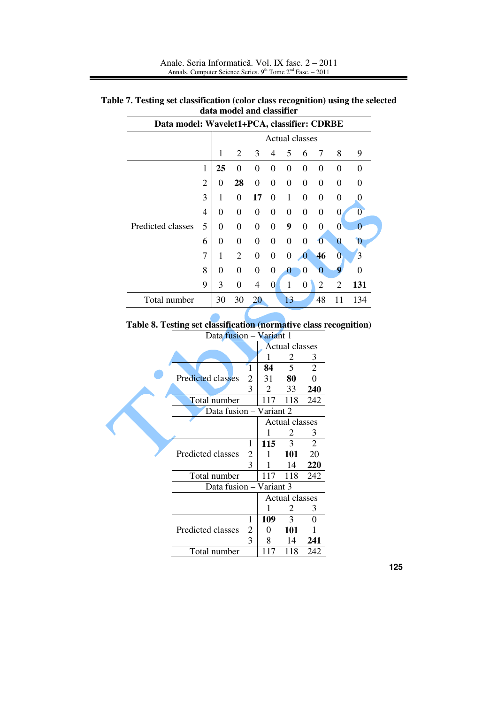| Data model: Wavelet1+PCA, classifier: CDRBE |                |          |                       |          |          |          |                  |          |                |          |
|---------------------------------------------|----------------|----------|-----------------------|----------|----------|----------|------------------|----------|----------------|----------|
|                                             |                |          | <b>Actual classes</b> |          |          |          |                  |          |                |          |
|                                             |                | 1        | 2                     | 3        | 4        | 5        | 6                | 7        | 8              | 9        |
|                                             | 1              | 25       | $\Omega$              | 0        | $\theta$ | $\Omega$ | $\Omega$         | 0        | 0              | 0        |
|                                             | $\overline{2}$ | 0        | 28                    | $\theta$ | $\Omega$ | $\Omega$ | $\Omega$         | 0        | 0              | 0        |
|                                             | 3              | 1        | $\Omega$              | 17       | $\Omega$ | 1        | $\Omega$         | $\theta$ | $\theta$       |          |
|                                             | 4              | $\Omega$ | $\boldsymbol{0}$      | 0        | $\Omega$ | $\Omega$ | $\Omega$         | 0        | 0              | $\theta$ |
| Predicted classes                           | 5              | $\Omega$ | $\theta$              | 0        | $\Omega$ | 9        | $\Omega$         | 0        | 0              | $\Omega$ |
|                                             | 6              | $\Omega$ | $\boldsymbol{0}$      | $\theta$ | $\Omega$ | $\theta$ | $\Omega$         | O        | $\theta$       | O        |
|                                             | 7              | 1        | $\overline{2}$        | $\theta$ | 0        | 0        | O                | 46       | $\overline{0}$ | 3        |
|                                             | 8              | $\Omega$ | $\boldsymbol{0}$      | 0        | 0        | 0        | $\boldsymbol{0}$ | 0        |                | $\Omega$ |
|                                             | 9              | 3        | $\Omega$              | 4        | $\Omega$ |          | $\boldsymbol{0}$ | 2        | $\overline{2}$ | 131      |
| Total number                                |                | 30       | 30                    | 20       |          | 13       |                  | 48       | 11             | 134      |

# **Table 7. Testing set classification (color class recognition) using the selected data model and classifier**

**Table 8. Testing set classification (normative class recognition)** 

| Data fusion – Variant 1 |   |     |                       |                |  |  |  |  |
|-------------------------|---|-----|-----------------------|----------------|--|--|--|--|
|                         |   |     | Actual classes        |                |  |  |  |  |
|                         |   |     | 2                     | 3              |  |  |  |  |
|                         |   | 84  | 5                     | $\overline{2}$ |  |  |  |  |
| Predicted classes       | 2 | 31  | 80                    | 0              |  |  |  |  |
|                         | 3 | 2   | 33                    | 240            |  |  |  |  |
| Total number            |   | 117 | 118                   | 242            |  |  |  |  |
| Data fusion - Variant 2 |   |     |                       |                |  |  |  |  |
|                         |   |     | <b>Actual classes</b> |                |  |  |  |  |
|                         |   |     | 2                     | 3              |  |  |  |  |
|                         | 1 | 115 | 3                     | $\overline{2}$ |  |  |  |  |
| Predicted classes       | 2 | 1   | 101                   | 20             |  |  |  |  |
|                         | 3 | 1   | 14                    | 220            |  |  |  |  |
| Total number            |   | 117 | 118                   | 242            |  |  |  |  |
| Data fusion - Variant 3 |   |     |                       |                |  |  |  |  |
|                         |   |     | Actual classes        |                |  |  |  |  |
|                         |   | 1   | 2                     | 3              |  |  |  |  |
|                         | 1 | 109 | 3                     | 0              |  |  |  |  |
| Predicted classes       | 2 | 0   | 101                   | 1              |  |  |  |  |
|                         | 3 | 8   | 14                    | 241            |  |  |  |  |
| Total number            |   | 117 | 118                   | 242            |  |  |  |  |
|                         |   |     |                       |                |  |  |  |  |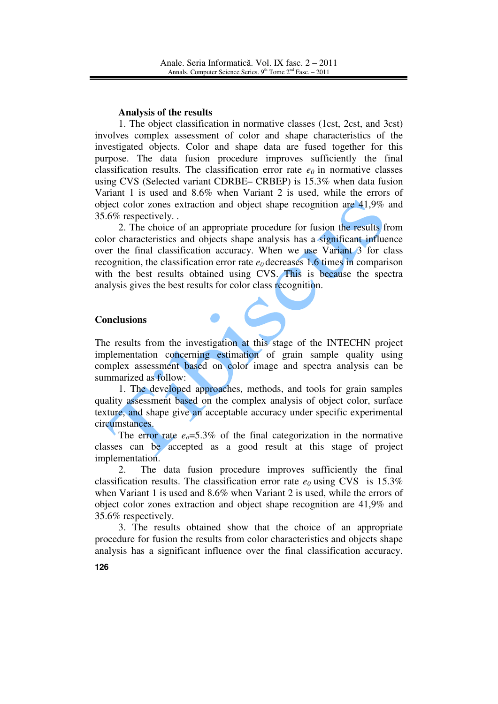#### **Analysis of the results**

1. The object classification in normative classes (1cst, 2cst, and 3cst) involves complex assessment of color and shape characteristics of the investigated objects. Color and shape data are fused together for this purpose. The data fusion procedure improves sufficiently the final classification results. The classification error rate  $e_0$  in normative classes using CVS (Selected variant CDRBE– CRBEP) is 15.3% when data fusion Variant 1 is used and 8.6% when Variant 2 is used, while the errors of object color zones extraction and object shape recognition are 41,9% and 35.6% respectively. .

2. The choice of an appropriate procedure for fusion the results from color characteristics and objects shape analysis has a significant influence over the final classification accuracy. When we use Variant 3 for class recognition, the classification error rate *e0* decreases 1.6 times in comparison with the best results obtained using CVS. This is because the spectra analysis gives the best results for color class recognition.

## **Conclusions**

The results from the investigation at this stage of the INTECHN project implementation concerning estimation of grain sample quality using complex assessment based on color image and spectra analysis can be summarized as follow:

1. The developed approaches, methods, and tools for grain samples quality assessment based on the complex analysis of object color, surface texture, and shape give an acceptable accuracy under specific experimental circumstances.

The error rate  $e_0 = 5.3\%$  of the final categorization in the normative classes can be accepted as a good result at this stage of project implementation.

2. The data fusion procedure improves sufficiently the final classification results. The classification error rate  $e_0$  using CVS is 15.3% when Variant 1 is used and 8.6% when Variant 2 is used, while the errors of object color zones extraction and object shape recognition are 41,9% and 35.6% respectively.

3. The results obtained show that the choice of an appropriate procedure for fusion the results from color characteristics and objects shape analysis has a significant influence over the final classification accuracy.

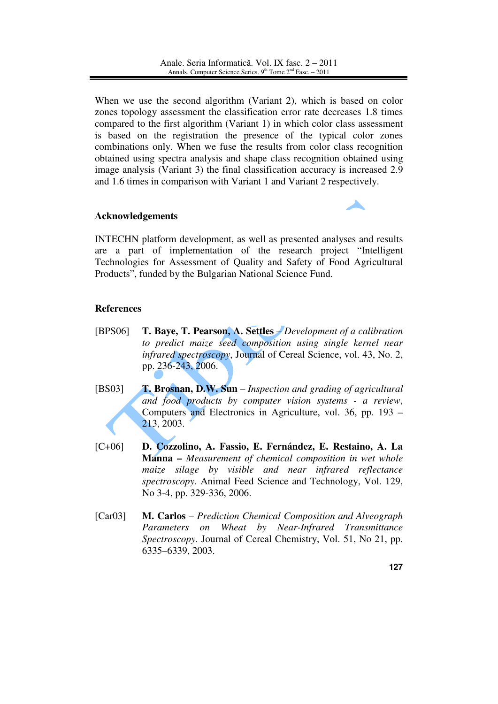When we use the second algorithm (Variant 2), which is based on color zones topology assessment the classification error rate decreases 1.8 times compared to the first algorithm (Variant 1) in which color class assessment is based on the registration the presence of the typical color zones combinations only. When we fuse the results from color class recognition obtained using spectra analysis and shape class recognition obtained using image analysis (Variant 3) the final classification accuracy is increased 2.9 and 1.6 times in comparison with Variant 1 and Variant 2 respectively.

# **Acknowledgements**

INTECHN platform development, as well as presented analyses and results are a part of implementation of the research project "Intelligent Technologies for Assessment of Quality and Safety of Food Agricultural Products", funded by the Bulgarian National Science Fund.

# **References**

- [BPS06] **T. Baye, T. Pearson, A. Settles** *Development of a calibration to predict maize seed composition using single kernel near infrared spectroscopy*, Journal of Cereal Science, vol. 43, No. 2, pp. 236-243, 2006.
- [BS03] **T. Brosnan, D.W. Sun** *Inspection and grading of agricultural and food products by computer vision systems - a review*, Computers and Electronics in Agriculture, vol. 36, pp. 193 – 213, 2003.
- [C+06] **D. Cozzolino, A. Fassio, E. Fernández, E. Restaino, A. La Manna –** *Measurement of chemical composition in wet whole maize silage by visible and near infrared reflectance spectroscopy*. Animal Feed Science and Technology, Vol. 129, No 3-4, pp. 329-336, 2006.
- [Car03] **M. Carlos** *Prediction Chemical Composition and Alveograph Parameters on Wheat by Near-Infrared Transmittance Spectroscopy.* Journal of Cereal Chemistry, Vol. 51, No 21, pp. 6335–6339, 2003.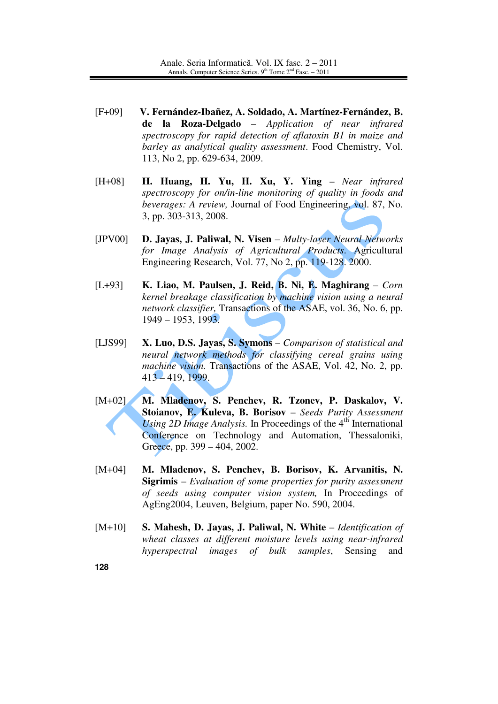- [F+09] **V. Fernández-Ibañez, A. Soldado, A. Martínez-Fernández, B. de la Roza-Delgado** – *Application of near infrared spectroscopy for rapid detection of aflatoxin B1 in maize and barley as analytical quality assessment*. Food Chemistry, Vol. 113, No 2, pp. 629-634, 2009.
- [H+08] **H. Huang, H. Yu, H. Xu, Y. Ying** *Near infrared spectroscopy for on/in-line monitoring of quality in foods and beverages: A review,* Journal of Food Engineering, vol. 87, No. 3, pp. 303-313, 2008.
- [JPV00] **D. Jayas, J. Paliwal, N. Visen** *Multy-layer Neural Networks for Image Analysis of Agricultural Products*. Agricultural Engineering Research, Vol. 77, No 2, pp. 119-128. 2000.
- [L+93] **K. Liao, M. Paulsen, J. Reid, B. Ni, E. Maghirang** *Corn kernel breakage classification by machine vision using a neural network classifier,* Transactions of the ASAE, vol. 36, No. 6, pp. 1949 – 1953, 1993.
- [LJS99] **X. Luo, D.S. Jayas, S. Symons** *Comparison of statistical and neural network methods for classifying cereal grains using machine vision.* Transactions of the ASAE, Vol. 42, No. 2, pp. 413 – 419, 1999.
- [M+02] **M. Mladenov, S. Penchev, R. Tzonev, P. Daskalov, V. Stoianov, E. Kuleva, B. Borisov** – *Seeds Purity Assessment Using 2D Image Analysis.* In Proceedings of the 4<sup>th</sup> International Conference on Technology and Automation, Thessaloniki, Greece, pp. 399 – 404, 2002.
- [M+04] **M. Mladenov, S. Penchev, B. Borisov, K. Arvanitis, N. Sigrimis** – *Evaluation of some properties for purity assessment of seeds using computer vision system,* In Proceedings of AgEng2004, Leuven, Belgium, paper No. 590, 2004.
- [M+10] **S. Mahesh, D. Jayas, J. Paliwal, N. White** *Identification of wheat classes at different moisture levels using near-infrared hyperspectral images of bulk samples*, Sensing and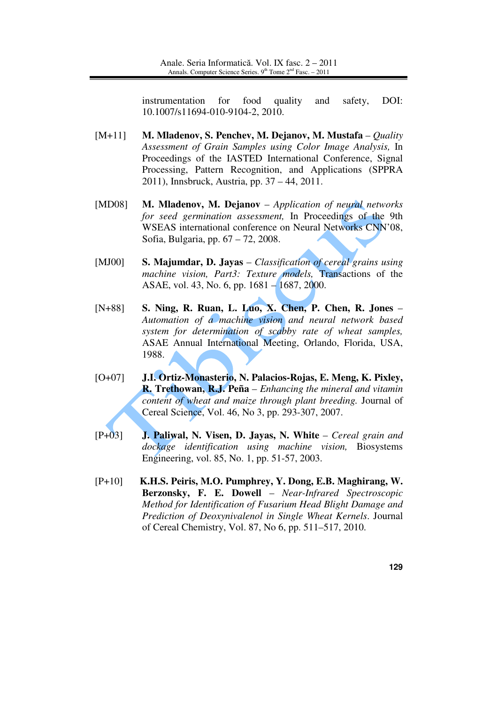instrumentation for food quality and safety, DOI: 10.1007/s11694-010-9104-2, 2010.

- [M+11] **M. Mladenov, S. Penchev, M. Dejanov, M. Mustafa** *Quality Assessment of Grain Samples using Color Image Analysis,* In Proceedings of the IASTED International Conference, Signal Processing, Pattern Recognition, and Applications (SPPRA 2011), Innsbruck, Austria, pp. 37 – 44, 2011.
- [MD08] **M. Mladenov, M. Dejanov** *Application of neural networks for seed germination assessment,* In Proceedings of the 9th WSEAS international conference on Neural Networks CNN'08, Sofia, Bulgaria, pp. 67 – 72, 2008.
- [MJ00] **S. Majumdar, D. Jayas** *Classification of cereal grains using machine vision, Part3: Texture models,* Transactions of the ASAE, vol. 43, No. 6, pp. 1681 – 1687, 2000.
- [N+88] **S. Ning, R. Ruan, L. Luo, X. Chen, P. Chen, R. Jones** *Automation of a machine vision and neural network based system for determination of scabby rate of wheat samples,*  ASAE Annual International Meeting, Orlando, Florida, USA, 1988.
- [O+07] **J.I. Ortiz-Monasterio, N. Palacios-Rojas, E. Meng, K. Pixley, R. Trethowan, R.J. Peña** – *Enhancing the mineral and vitamin content of wheat and maize through plant breeding.* Journal of Cereal Science, Vol. 46, No 3, pp. 293-307, 2007.
- [P+03] **J. Paliwal, N. Visen, D. Jayas, N. White** *Cereal grain and dockage identification using machine vision,* Biosystems Engineering, vol. 85, No. 1, pp. 51-57, 2003.
- [P+10] **K.H.S. Peiris, M.O. Pumphrey, Y. Dong, E.B. Maghirang, W. Berzonsky, F. E. Dowell** – *Near-Infrared Spectroscopic Method for Identification of Fusarium Head Blight Damage and Prediction of Deoxynivalenol in Single Wheat Kernels*. Journal of Cereal Chemistry, Vol. 87, No 6, pp. 511–517, 2010.